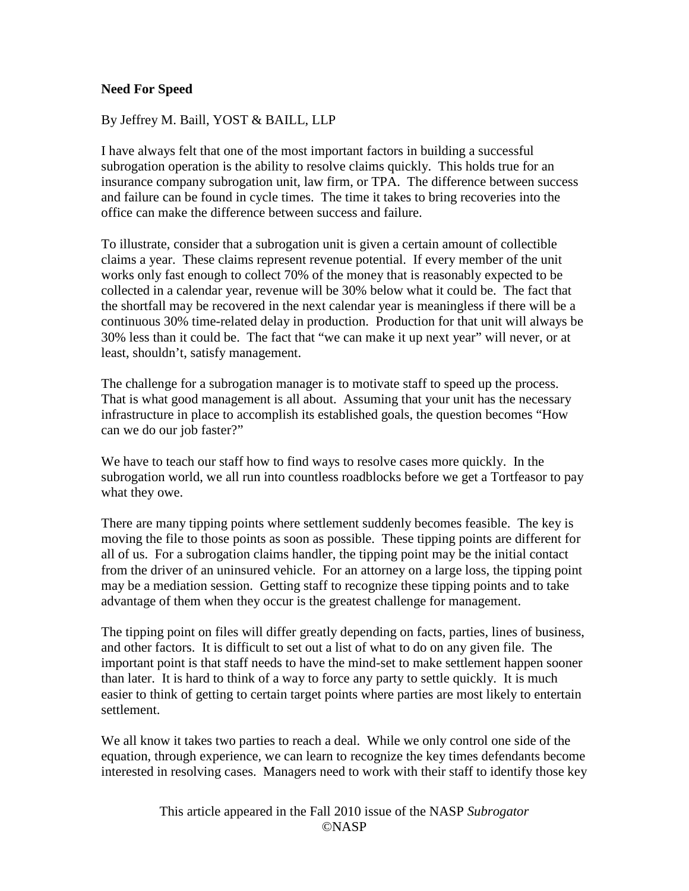## **Need For Speed**

## By Jeffrey M. Baill, YOST & BAILL, LLP

I have always felt that one of the most important factors in building a successful subrogation operation is the ability to resolve claims quickly. This holds true for an insurance company subrogation unit, law firm, or TPA. The difference between success and failure can be found in cycle times. The time it takes to bring recoveries into the office can make the difference between success and failure.

To illustrate, consider that a subrogation unit is given a certain amount of collectible claims a year. These claims represent revenue potential. If every member of the unit works only fast enough to collect 70% of the money that is reasonably expected to be collected in a calendar year, revenue will be 30% below what it could be. The fact that the shortfall may be recovered in the next calendar year is meaningless if there will be a continuous 30% time-related delay in production. Production for that unit will always be 30% less than it could be. The fact that "we can make it up next year" will never, or at least, shouldn't, satisfy management.

The challenge for a subrogation manager is to motivate staff to speed up the process. That is what good management is all about. Assuming that your unit has the necessary infrastructure in place to accomplish its established goals, the question becomes "How can we do our job faster?"

We have to teach our staff how to find ways to resolve cases more quickly. In the subrogation world, we all run into countless roadblocks before we get a Tortfeasor to pay what they owe.

There are many tipping points where settlement suddenly becomes feasible. The key is moving the file to those points as soon as possible. These tipping points are different for all of us. For a subrogation claims handler, the tipping point may be the initial contact from the driver of an uninsured vehicle. For an attorney on a large loss, the tipping point may be a mediation session. Getting staff to recognize these tipping points and to take advantage of them when they occur is the greatest challenge for management.

The tipping point on files will differ greatly depending on facts, parties, lines of business, and other factors. It is difficult to set out a list of what to do on any given file. The important point is that staff needs to have the mind-set to make settlement happen sooner than later. It is hard to think of a way to force any party to settle quickly. It is much easier to think of getting to certain target points where parties are most likely to entertain settlement.

We all know it takes two parties to reach a deal. While we only control one side of the equation, through experience, we can learn to recognize the key times defendants become interested in resolving cases. Managers need to work with their staff to identify those key

> This article appeared in the Fall 2010 issue of the NASP *Subrogator* ©NASP